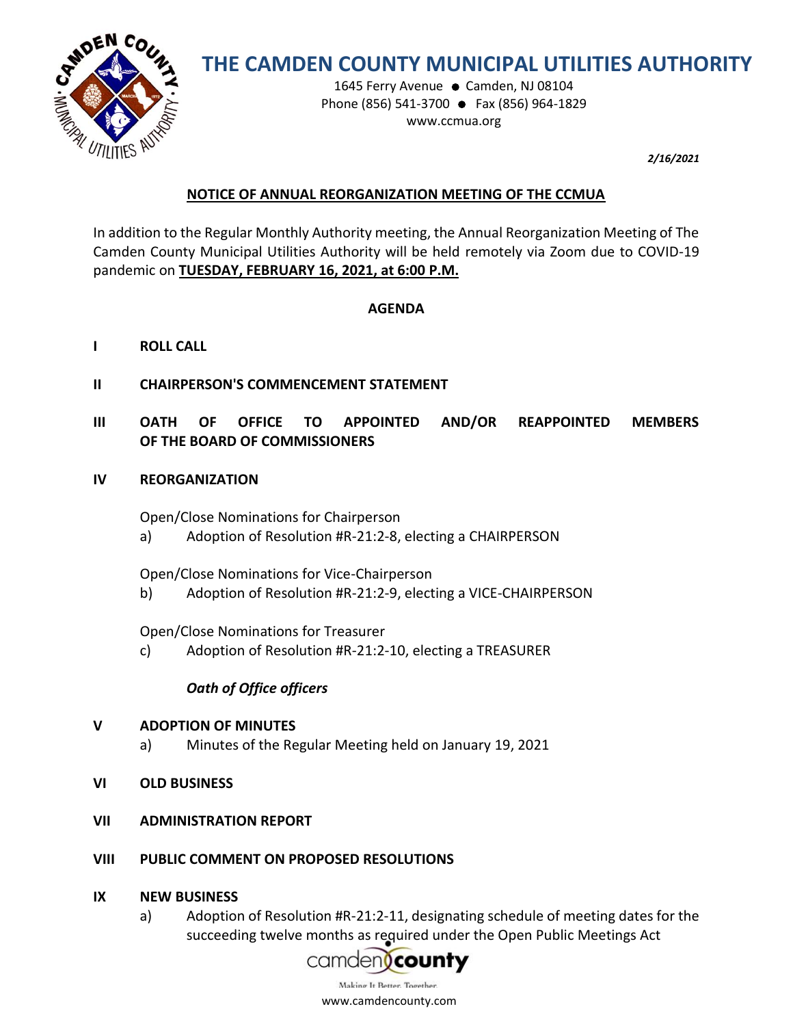

# **THE CAMDEN COUNTY MUNICIPAL UTILITIES AUTHORITY**

1645 Ferry Avenue ● Camden, NJ 08104 Phone (856) 541-3700 ● Fax (856) 964-1829 www.ccmua.org

*2/16/2021*

### **NOTICE OF ANNUAL REORGANIZATION MEETING OF THE CCMUA**

In addition to the Regular Monthly Authority meeting, the Annual Reorganization Meeting of The Camden County Municipal Utilities Authority will be held remotely via Zoom due to COVID-19 pandemic on **TUESDAY, FEBRUARY 16, 2021, at 6:00 P.M.**

### **AGENDA**

- **I ROLL CALL**
- **II CHAIRPERSON'S COMMENCEMENT STATEMENT**
- **III OATH OF OFFICE TO APPOINTED AND/OR REAPPOINTED MEMBERS OF THE BOARD OF COMMISSIONERS**
- **IV REORGANIZATION**

Open/Close Nominations for Chairperson

a) Adoption of Resolution #R-21:2-8, electing a CHAIRPERSON

Open/Close Nominations for Vice-Chairperson

b) Adoption of Resolution #R-21:2-9, electing a VICE-CHAIRPERSON

Open/Close Nominations for Treasurer

c) Adoption of Resolution #R-21:2-10, electing a TREASURER

## *Oath of Office officers*

### **V ADOPTION OF MINUTES**

- a) Minutes of the Regular Meeting held on January 19, 2021
- **VI OLD BUSINESS**
- **VII ADMINISTRATION REPORT**
- **VIII PUBLIC COMMENT ON PROPOSED RESOLUTIONS**
- **IX NEW BUSINESS**
	- a) Adoption of Resolution #R-21:2-11, designating schedule of meeting dates for the succeeding twelve [months as required under t](https://www.google.com/url?sa=i&rct=j&q=&esrc=s&source=images&cd=&cad=rja&uact=8&docid=1bFFCDCl5B1FAM&tbnid=uoUDtpPd_pfVeM:&ved=0CAUQjRw&url=https://dimension2.princetonecom.com/otp/StartAction.do?CCMUA&ei=eoZzU720BY3fsASzjYCQAQ&bvm=bv.66699033,d.aWw&psig=AFQjCNGgxuUuq5VqdB3fuLFiWnGIwJDacg&ust=1400166385202246)he Open Public Meetings Act

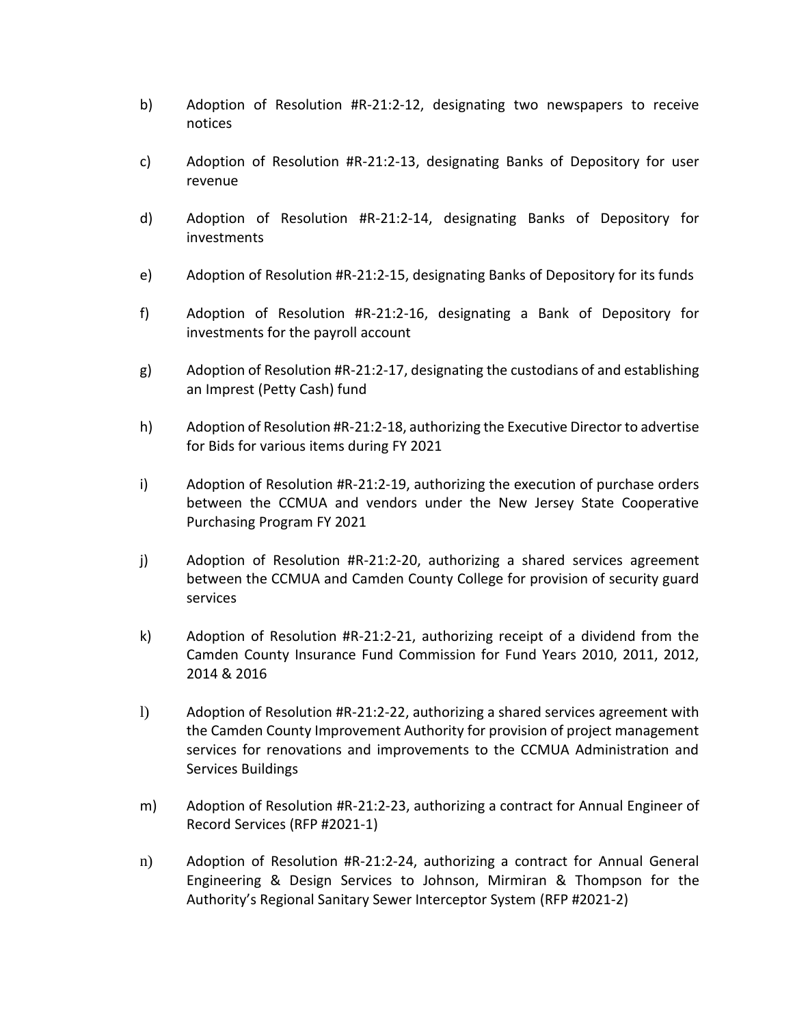- b) Adoption of Resolution #R-21:2-12, designating two newspapers to receive notices
- c) Adoption of Resolution #R-21:2-13, designating Banks of Depository for user revenue
- d) Adoption of Resolution #R-21:2-14, designating Banks of Depository for investments
- e) Adoption of Resolution #R-21:2-15, designating Banks of Depository for its funds
- f) Adoption of Resolution #R-21:2-16, designating a Bank of Depository for investments for the payroll account
- g) Adoption of Resolution #R-21:2-17, designating the custodians of and establishing an Imprest (Petty Cash) fund
- h) Adoption of Resolution #R-21:2-18, authorizing the Executive Director to advertise for Bids for various items during FY 2021
- i) Adoption of Resolution #R-21:2-19, authorizing the execution of purchase orders between the CCMUA and vendors under the New Jersey State Cooperative Purchasing Program FY 2021
- j) Adoption of Resolution #R-21:2-20, authorizing a shared services agreement between the CCMUA and Camden County College for provision of security guard services
- k) Adoption of Resolution #R-21:2-21, authorizing receipt of a dividend from the Camden County Insurance Fund Commission for Fund Years 2010, 2011, 2012, 2014 & 2016
- l) Adoption of Resolution #R-21:2-22, authorizing a shared services agreement with the Camden County Improvement Authority for provision of project management services for renovations and improvements to the CCMUA Administration and Services Buildings
- m) Adoption of Resolution #R-21:2-23, authorizing a contract for Annual Engineer of Record Services (RFP #2021-1)
- n) Adoption of Resolution #R-21:2-24, authorizing a contract for Annual General Engineering & Design Services to Johnson, Mirmiran & Thompson for the Authority's Regional Sanitary Sewer Interceptor System (RFP #2021-2)